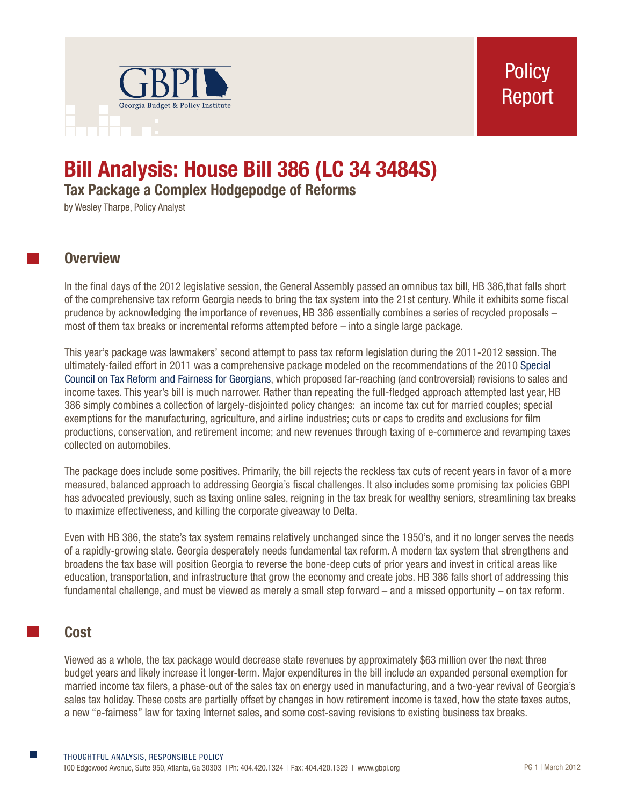

# **Bill Analysis: House Bill 386 (LC 34 3484S)**

**Tax Package a Complex Hodgepodge of Reforms**

by Wesley Tharpe, Policy Analyst

# **Overview**

In the final days of the 2012 legislative session, the General Assembly passed an omnibus tax bill, HB 386,that falls short of the comprehensive tax reform Georgia needs to bring the tax system into the 21st century. While it exhibits some fiscal prudence by acknowledging the importance of revenues, HB 386 essentially combines a series of recycled proposals – most of them tax breaks or incremental reforms attempted before – into a single large package.

This year's package was lawmakers' second attempt to pass tax reform legislation during the 2011-2012 session. The ultimately-failed effort in 2011 was a comprehensive package modeled on the recommendations of the 2010 [Special](http://fiscalresearch.gsu.edu/taxcouncil/downloads/FINAL_REPORT_Jan_7_2011.pdf)  [Council on Tax Reform and Fairness for Georgians](http://fiscalresearch.gsu.edu/taxcouncil/downloads/FINAL_REPORT_Jan_7_2011.pdf), which proposed far-reaching (and controversial) revisions to sales and income taxes. This year's bill is much narrower. Rather than repeating the full-fledged approach attempted last year, HB 386 simply combines a collection of largely-disjointed policy changes: an income tax cut for married couples; special exemptions for the manufacturing, agriculture, and airline industries; cuts or caps to credits and exclusions for film productions, conservation, and retirement income; and new revenues through taxing of e-commerce and revamping taxes collected on automobiles.

The package does include some positives. Primarily, the bill rejects the reckless tax cuts of recent years in favor of a more measured, balanced approach to addressing Georgia's fiscal challenges. It also includes some promising tax policies GBPI has advocated previously, such as taxing online sales, reigning in the tax break for wealthy seniors, streamlining tax breaks to maximize effectiveness, and killing the corporate giveaway to Delta.

Even with HB 386, the state's tax system remains relatively unchanged since the 1950's, and it no longer serves the needs of a rapidly-growing state. Georgia desperately needs fundamental tax reform. A modern tax system that strengthens and broadens the tax base will position Georgia to reverse the bone-deep cuts of prior years and invest in critical areas like education, transportation, and infrastructure that grow the economy and create jobs. HB 386 falls short of addressing this fundamental challenge, and must be viewed as merely a small step forward – and a missed opportunity – on tax reform.

# **Cost**

Viewed as a whole, the tax package would decrease state revenues by approximately \$63 million over the next three budget years and likely increase it longer-term. Major expenditures in the bill include an expanded personal exemption for married income tax filers, a phase-out of the sales tax on energy used in manufacturing, and a two-year revival of Georgia's sales tax holiday. These costs are partially offset by changes in how retirement income is taxed, how the state taxes autos, a new "e-fairness" law for taxing Internet sales, and some cost-saving revisions to existing business tax breaks.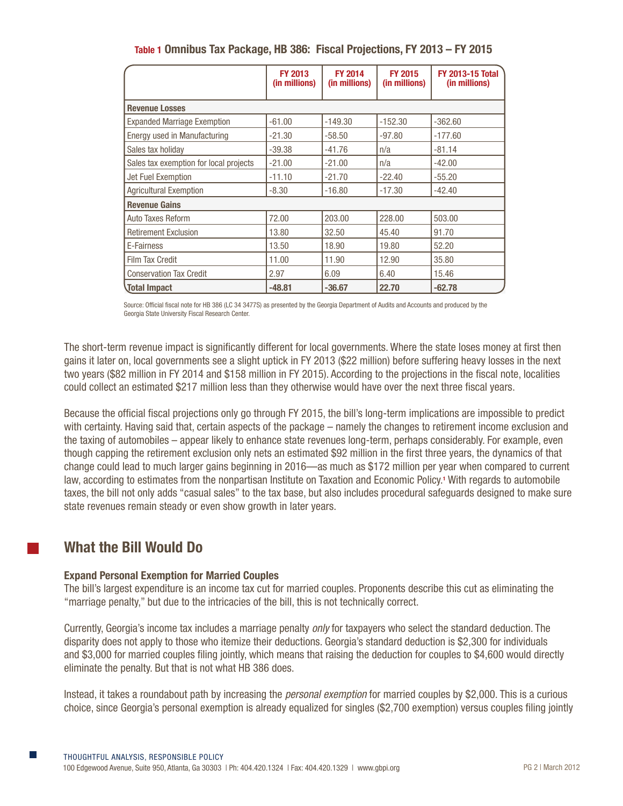|                                        | <b>FY 2013</b><br>(in millions) | <b>FY 2014</b><br>(in millions) | <b>FY 2015</b><br>(in millions) | <b>FY 2013-15 Total</b><br>(in millions) |  |  |  |  |  |  |
|----------------------------------------|---------------------------------|---------------------------------|---------------------------------|------------------------------------------|--|--|--|--|--|--|
| <b>Revenue Losses</b>                  |                                 |                                 |                                 |                                          |  |  |  |  |  |  |
| <b>Expanded Marriage Exemption</b>     | $-61.00$                        | $-149.30$                       | $-152.30$                       | $-362.60$                                |  |  |  |  |  |  |
| Energy used in Manufacturing           | $-21.30$                        | $-58.50$                        | $-97.80$                        | $-177.60$                                |  |  |  |  |  |  |
| Sales tax holiday                      | $-39.38$                        | $-41.76$                        | n/a                             | $-81.14$                                 |  |  |  |  |  |  |
| Sales tax exemption for local projects | $-21.00$                        | $-21.00$                        | n/a                             | $-42.00$                                 |  |  |  |  |  |  |
| Jet Fuel Exemption                     | $-11.10$                        | $-21.70$                        | $-22.40$                        | $-55.20$                                 |  |  |  |  |  |  |
| <b>Agricultural Exemption</b>          | $-8.30$                         | $-16.80$                        | $-17.30$                        | $-42.40$                                 |  |  |  |  |  |  |
| <b>Revenue Gains</b>                   |                                 |                                 |                                 |                                          |  |  |  |  |  |  |
| Auto Taxes Reform                      | 72.00                           | 203.00                          | 228.00                          | 503.00                                   |  |  |  |  |  |  |
| <b>Retirement Exclusion</b>            | 13.80                           | 32.50                           | 45.40                           | 91.70                                    |  |  |  |  |  |  |
| E-Fairness                             | 13.50                           | 18.90                           | 19.80                           | 52.20                                    |  |  |  |  |  |  |
| <b>Film Tax Credit</b>                 | 11.00                           | 11.90                           | 12.90                           | 35.80                                    |  |  |  |  |  |  |
| <b>Conservation Tax Credit</b>         | 2.97                            | 6.09                            | 6.40                            | 15.46                                    |  |  |  |  |  |  |
| <b>Total Impact</b>                    | $-48.81$                        | $-36.67$                        | 22.70                           | $-62.78$                                 |  |  |  |  |  |  |

**Table 1 Omnibus Tax Package, HB 386: Fiscal Projections, FY 2013 – FY 2015**

Source: Official fiscal note for HB 386 (LC 34 3477S) as presented by the Georgia Department of Audits and Accounts and produced by the Georgia State University Fiscal Research Center.

The short-term revenue impact is significantly different for local governments. Where the state loses money at first then gains it later on, local governments see a slight uptick in FY 2013 (\$22 million) before suffering heavy losses in the next two years (\$82 million in FY 2014 and \$158 million in FY 2015). According to the projections in the fiscal note, localities could collect an estimated \$217 million less than they otherwise would have over the next three fiscal years.

Because the official fiscal projections only go through FY 2015, the bill's long-term implications are impossible to predict with certainty. Having said that, certain aspects of the package – namely the changes to retirement income exclusion and the taxing of automobiles – appear likely to enhance state revenues long-term, perhaps considerably. For example, even though capping the retirement exclusion only nets an estimated \$92 million in the first three years, the dynamics of that change could lead to much larger gains beginning in 2016—as much as \$172 million per year when compared to current law, according to estimates from the nonpartisan Institute on Taxation and Economic Policy.**<sup>1</sup>** With regards to automobile taxes, the bill not only adds "casual sales" to the tax base, but also includes procedural safeguards designed to make sure state revenues remain steady or even show growth in later years.

# **What the Bill Would Do**

# **Expand Personal Exemption for Married Couples**

The bill's largest expenditure is an income tax cut for married couples. Proponents describe this cut as eliminating the "marriage penalty," but due to the intricacies of the bill, this is not technically correct.

Currently, Georgia's income tax includes a marriage penalty *only* for taxpayers who select the standard deduction. The disparity does not apply to those who itemize their deductions. Georgia's standard deduction is \$2,300 for individuals and \$3,000 for married couples filing jointly, which means that raising the deduction for couples to \$4,600 would directly eliminate the penalty. But that is not what HB 386 does.

Instead, it takes a roundabout path by increasing the *personal exemption* for married couples by \$2,000. This is a curious choice, since Georgia's personal exemption is already equalized for singles (\$2,700 exemption) versus couples filing jointly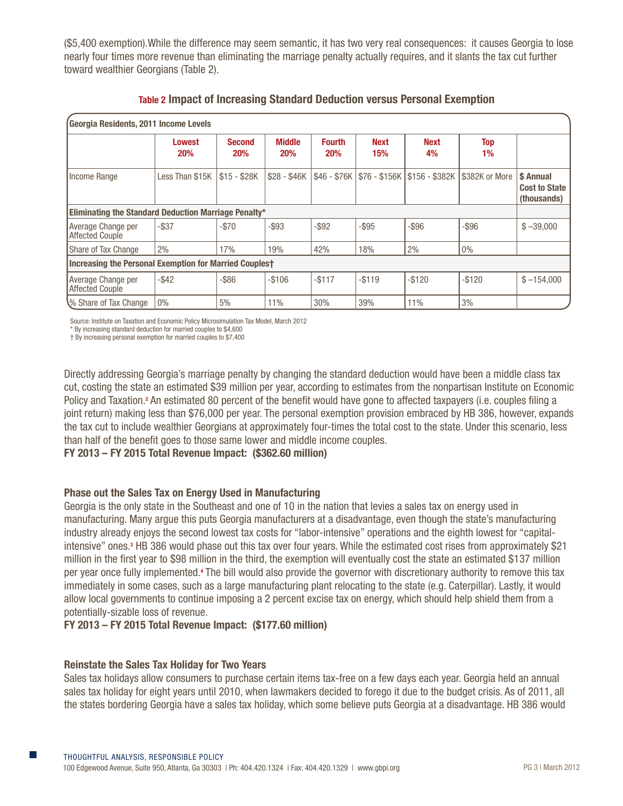(\$5,400 exemption).While the difference may seem semantic, it has two very real consequences: it causes Georgia to lose nearly four times more revenue than eliminating the marriage penalty actually requires, and it slants the tax cut further toward wealthier Georgians (Table 2).

| Georgia Residents, 2011 Income Levels                         |                             |                             |                             |                             |                              |                   |                  |                                                  |  |  |  |
|---------------------------------------------------------------|-----------------------------|-----------------------------|-----------------------------|-----------------------------|------------------------------|-------------------|------------------|--------------------------------------------------|--|--|--|
|                                                               | <b>Lowest</b><br><b>20%</b> | <b>Second</b><br><b>20%</b> | <b>Middle</b><br><b>20%</b> | <b>Fourth</b><br><b>20%</b> | <b>Next</b><br>15%           | <b>Next</b><br>4% | <b>Top</b><br>1% |                                                  |  |  |  |
| Income Range                                                  | Less Than \$15K             | \$15 - \$28K                | \$28 - \$46K                |                             | \$46 - \$76K   \$76 - \$156K | \$156 - \$382K    | \$382K or More   | \$ Annual<br><b>Cost to State</b><br>(thousands) |  |  |  |
| Eliminating the Standard Deduction Marriage Penalty*          |                             |                             |                             |                             |                              |                   |                  |                                                  |  |  |  |
| Average Change per<br><b>Affected Couple</b>                  | $-$ \$37                    | $-$70$                      | $-$ \$93                    | $-$ \$92                    | $-$ \$95                     | $-$ \$96          | $-$ \$96         | $$ -39,000$                                      |  |  |  |
| Share of Tax Change                                           | 2%                          | 17%                         | 19%                         | 42%                         | 18%                          | 2%                | $0\%$            |                                                  |  |  |  |
| <b>Increasing the Personal Exemption for Married Couplest</b> |                             |                             |                             |                             |                              |                   |                  |                                                  |  |  |  |
| Average Change per<br><b>Affected Couple</b>                  | $-$ \$42                    | $-$ \$86                    | $-$106$                     | $-$117$                     | $-$119$                      | $-$120$           | $-$120$          | $$ -154,000$                                     |  |  |  |
| V% Share of Tax Change                                        | $0\%$                       | 5%                          | 11%                         | 30%                         | 39%                          | 11%               | 3%               |                                                  |  |  |  |

Source: Institute on Taxation and Economic Policy Microsimulation Tax Model, March 2012

\* By increasing standard deduction for married couples to \$4,600

† By increasing personal exemption for married couples to \$7,400

Directly addressing Georgia's marriage penalty by changing the standard deduction would have been a middle class tax cut, costing the state an estimated \$39 million per year, according to estimates from the nonpartisan Institute on Economic Policy and Taxation.<sup>2</sup> An estimated 80 percent of the benefit would have gone to affected taxpayers (i.e. couples filing a joint return) making less than \$76,000 per year. The personal exemption provision embraced by HB 386, however, expands the tax cut to include wealthier Georgians at approximately four-times the total cost to the state. Under this scenario, less than half of the benefit goes to those same lower and middle income couples.

# **FY 2013 – FY 2015 Total Revenue Impact: (\$362.60 million)**

# **Phase out the Sales Tax on Energy Used in Manufacturing**

Georgia is the only state in the Southeast and one of 10 in the nation that levies a sales tax on energy used in manufacturing. Many argue this puts Georgia manufacturers at a disadvantage, even though the state's manufacturing industry already enjoys the second lowest tax costs for "labor-intensive" operations and the eighth lowest for "capitalintensive" ones.<sup>3</sup> HB 386 would phase out this tax over four years. While the estimated cost rises from approximately \$21 million in the first year to \$98 million in the third, the exemption will eventually cost the state an estimated \$137 million per year once fully implemented.<sup>4</sup> The bill would also provide the governor with discretionary authority to remove this tax immediately in some cases, such as a large manufacturing plant relocating to the state (e.g. Caterpillar). Lastly, it would allow local governments to continue imposing a 2 percent excise tax on energy, which should help shield them from a potentially-sizable loss of revenue.

# **FY 2013 – FY 2015 Total Revenue Impact: (\$177.60 million)**

# **Reinstate the Sales Tax Holiday for Two Years**

Sales tax holidays allow consumers to purchase certain items tax-free on a few days each year. Georgia held an annual sales tax holiday for eight years until 2010, when lawmakers decided to forego it due to the budget crisis. As of 2011, all the states bordering Georgia have a sales tax holiday, which some believe puts Georgia at a disadvantage. HB 386 would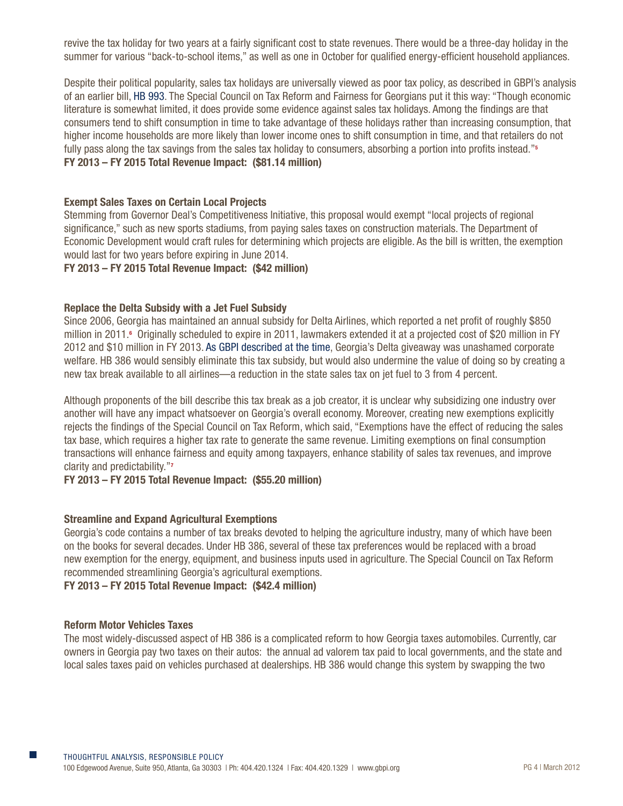revive the tax holiday for two years at a fairly significant cost to state revenues. There would be a three-day holiday in the summer for various "back-to-school items," as well as one in October for qualified energy-efficient household appliances.

Despite their political popularity, sales tax holidays are universally viewed as poor tax policy, as described in GBPI's analysis of an earlier bill, [HB 993.](http://gbpi.org/wp-content/uploads/2012/03/HB-993_factsheet-_LC-34-3380S.pdf) The Special Council on Tax Reform and Fairness for Georgians put it this way: "Though economic literature is somewhat limited, it does provide some evidence against sales tax holidays. Among the findings are that consumers tend to shift consumption in time to take advantage of these holidays rather than increasing consumption, that higher income households are more likely than lower income ones to shift consumption in time, and that retailers do not fully pass along the tax savings from the sales tax holiday to consumers, absorbing a portion into profits instead."**<sup>5</sup> FY 2013 – FY 2015 Total Revenue Impact: (\$81.14 million)**

## **Exempt Sales Taxes on Certain Local Projects**

Stemming from Governor Deal's Competitiveness Initiative, this proposal would exempt "local projects of regional significance," such as new sports stadiums, from paying sales taxes on construction materials. The Department of Economic Development would craft rules for determining which projects are eligible. As the bill is written, the exemption would last for two years before expiring in June 2014.

# **FY 2013 – FY 2015 Total Revenue Impact: (\$42 million)**

## **Replace the Delta Subsidy with a Jet Fuel Subsidy**

Since 2006, Georgia has maintained an annual subsidy for Delta Airlines, which reported a net profit of roughly \$850 million in 2011.**<sup>6</sup>** Originally scheduled to expire in 2011, lawmakers extended it at a projected cost of \$20 million in FY 2012 and \$10 million in FY 2013. [As GBPI described at the time,](http://m.savannahnow.com/column/2011-03-18/essig-georgia-lawmakers-show-love-delta) Georgia's Delta giveaway was unashamed corporate welfare. HB 386 would sensibly eliminate this tax subsidy, but would also undermine the value of doing so by creating a new tax break available to all airlines—a reduction in the state sales tax on jet fuel to 3 from 4 percent.

Although proponents of the bill describe this tax break as a job creator, it is unclear why subsidizing one industry over another will have any impact whatsoever on Georgia's overall economy. Moreover, creating new exemptions explicitly rejects the findings of the Special Council on Tax Reform, which said, "Exemptions have the effect of reducing the sales tax base, which requires a higher tax rate to generate the same revenue. Limiting exemptions on final consumption transactions will enhance fairness and equity among taxpayers, enhance stability of sales tax revenues, and improve clarity and predictability."**<sup>7</sup>**

#### **FY 2013 – FY 2015 Total Revenue Impact: (\$55.20 million)**

#### **Streamline and Expand Agricultural Exemptions**

Georgia's code contains a number of tax breaks devoted to helping the agriculture industry, many of which have been on the books for several decades. Under HB 386, several of these tax preferences would be replaced with a broad new exemption for the energy, equipment, and business inputs used in agriculture. The Special Council on Tax Reform recommended streamlining Georgia's agricultural exemptions.

#### **FY 2013 – FY 2015 Total Revenue Impact: (\$42.4 million)**

#### **Reform Motor Vehicles Taxes**

The most widely-discussed aspect of HB 386 is a complicated reform to how Georgia taxes automobiles. Currently, car owners in Georgia pay two taxes on their autos: the annual ad valorem tax paid to local governments, and the state and local sales taxes paid on vehicles purchased at dealerships. HB 386 would change this system by swapping the two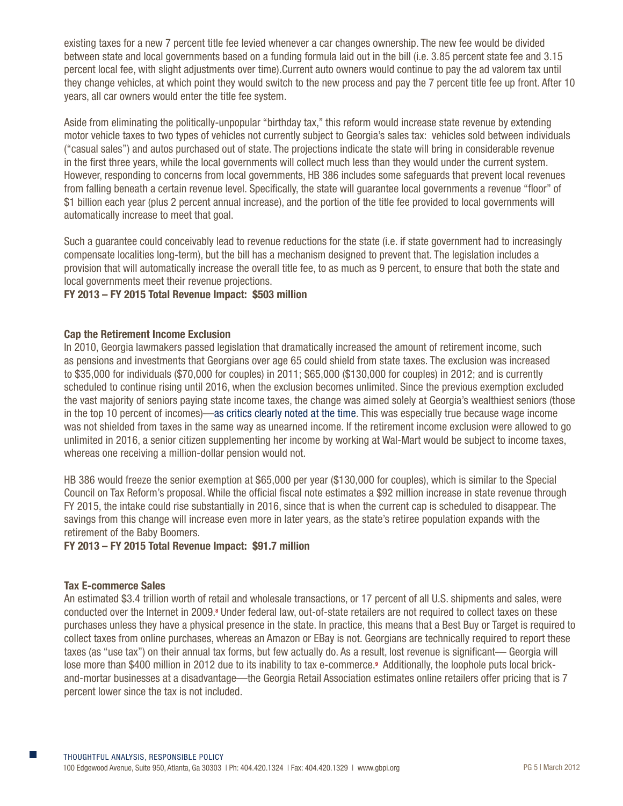existing taxes for a new 7 percent title fee levied whenever a car changes ownership. The new fee would be divided between state and local governments based on a funding formula laid out in the bill (i.e. 3.85 percent state fee and 3.15 percent local fee, with slight adjustments over time).Current auto owners would continue to pay the ad valorem tax until they change vehicles, at which point they would switch to the new process and pay the 7 percent title fee up front. After 10 years, all car owners would enter the title fee system.

Aside from eliminating the politically-unpopular "birthday tax," this reform would increase state revenue by extending motor vehicle taxes to two types of vehicles not currently subject to Georgia's sales tax: vehicles sold between individuals ("casual sales") and autos purchased out of state. The projections indicate the state will bring in considerable revenue in the first three years, while the local governments will collect much less than they would under the current system. However, responding to concerns from local governments, HB 386 includes some safeguards that prevent local revenues from falling beneath a certain revenue level. Specifically, the state will guarantee local governments a revenue "floor" of \$1 billion each year (plus 2 percent annual increase), and the portion of the title fee provided to local governments will automatically increase to meet that goal.

Such a guarantee could conceivably lead to revenue reductions for the state (i.e. if state government had to increasingly compensate localities long-term), but the bill has a mechanism designed to prevent that. The legislation includes a provision that will automatically increase the overall title fee, to as much as 9 percent, to ensure that both the state and local governments meet their revenue projections.

# **FY 2013 – FY 2015 Total Revenue Impact: \$503 million**

# **Cap the Retirement Income Exclusion**

In 2010, Georgia lawmakers passed legislation that dramatically increased the amount of retirement income, such as pensions and investments that Georgians over age 65 could shield from state taxes. The exclusion was increased to \$35,000 for individuals (\$70,000 for couples) in 2011; \$65,000 (\$130,000 for couples) in 2012; and is currently scheduled to continue rising until 2016, when the exclusion becomes unlimited. Since the previous exemption excluded the vast majority of seniors paying state income taxes, the change was aimed solely at Georgia's wealthiest seniors (those in the top 10 percent of incomes)—[as critics clearly noted at the time](http://www.georgiapoliticaldigest.com/pressreleases/GBPI_Analysis_Questions_Fairness_of_HB_195_6510.shtml). This was especially true because wage income was not shielded from taxes in the same way as unearned income. If the retirement income exclusion were allowed to go unlimited in 2016, a senior citizen supplementing her income by working at Wal-Mart would be subject to income taxes, whereas one receiving a million-dollar pension would not.

HB 386 would freeze the senior exemption at \$65,000 per year (\$130,000 for couples), which is similar to the Special Council on Tax Reform's proposal. While the official fiscal note estimates a \$92 million increase in state revenue through FY 2015, the intake could rise substantially in 2016, since that is when the current cap is scheduled to disappear. The savings from this change will increase even more in later years, as the state's retiree population expands with the retirement of the Baby Boomers.

# **FY 2013 – FY 2015 Total Revenue Impact: \$91.7 million**

#### **Tax E-commerce Sales**

An estimated \$3.4 trillion worth of retail and wholesale transactions, or 17 percent of all U.S. shipments and sales, were conducted over the Internet in 2009.<sup>8</sup> Under federal law, out-of-state retailers are not required to collect taxes on these purchases unless they have a physical presence in the state. In practice, this means that a Best Buy or Target is required to collect taxes from online purchases, whereas an Amazon or EBay is not. Georgians are technically required to report these taxes (as "use tax") on their annual tax forms, but few actually do. As a result, lost revenue is significant— Georgia will lose more than \$400 million in 2012 due to its inability to tax e-commerce.**<sup>9</sup>** Additionally, the loophole puts local brickand-mortar businesses at a disadvantage—the Georgia Retail Association estimates online retailers offer pricing that is 7 percent lower since the tax is not included.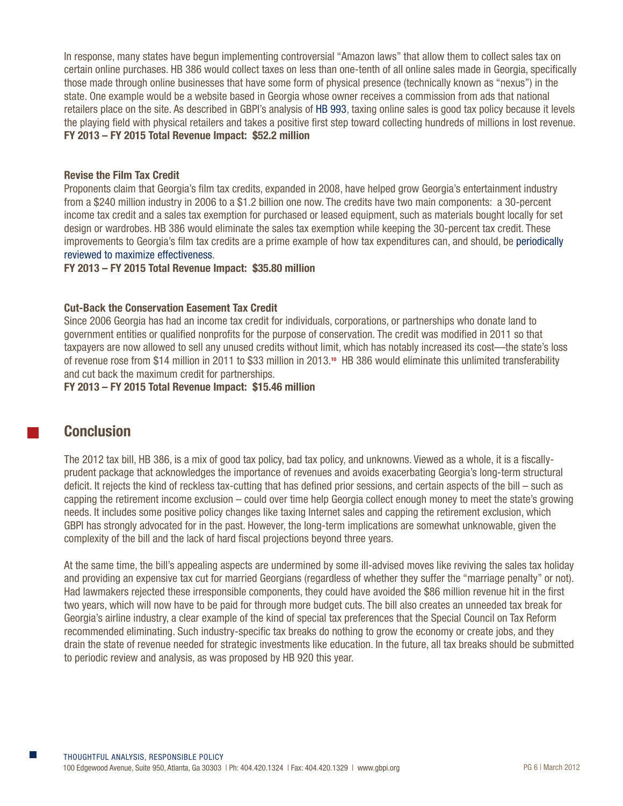In response, many states have begun implementing controversial "Amazon laws" that allow them to collect sales tax on certain online purchases. HB 386 would collect taxes on less than one-tenth of all online sales made in Georgia, specifically those made through online businesses that have some form of physical presence (technically known as "nexus") in the state. One example would be a website based in Georgia whose owner receives a commission from ads that national retailers place on the site. As described in GBPI's analysis of [HB 993,](http://gbpi.org/wp-content/uploads/2012/03/HB-993_factsheet-_LC-34-3380S.pdf) taxing online sales is good tax policy because it levels the playing field with physical retailers and takes a positive first step toward collecting hundreds of millions in lost revenue. **FY 2013 – FY 2015 Total Revenue Impact: \$52.2 million**

# **Revise the Film Tax Credit**

Proponents claim that Georgia's film tax credits, expanded in 2008, have helped grow Georgia's entertainment industry from a \$240 million industry in 2006 to a \$1.2 billion one now. The credits have two main components: a 30-percent income tax credit and a sales tax exemption for purchased or leased equipment, such as materials bought locally for set design or wardrobes. HB 386 would eliminate the sales tax exemption while keeping the 30-percent tax credit. These improvements to Georgia's film tax credits are a prime example of how tax expenditures can, and should, be [periodically](http://gbpi.org/tax-breaks-and-economic-development-programs-are-we-getting-our-moneys-worth)  [reviewed to maximize effectiveness.](http://gbpi.org/tax-breaks-and-economic-development-programs-are-we-getting-our-moneys-worth)

# **FY 2013 – FY 2015 Total Revenue Impact: \$35.80 million**

# **Cut-Back the Conservation Easement Tax Credit**

Since 2006 Georgia has had an income tax credit for individuals, corporations, or partnerships who donate land to government entities or qualified nonprofits for the purpose of conservation. The credit was modified in 2011 so that taxpayers are now allowed to sell any unused credits without limit, which has notably increased its cost—the state's loss of revenue rose from \$14 million in 2011 to \$33 million in 2013. **<sup>10</sup>** HB 386 would eliminate this unlimited transferability and cut back the maximum credit for partnerships.

# **FY 2013 – FY 2015 Total Revenue Impact: \$15.46 million**

# **Conclusion**

The 2012 tax bill, HB 386, is a mix of good tax policy, bad tax policy, and unknowns. Viewed as a whole, it is a fiscallyprudent package that acknowledges the importance of revenues and avoids exacerbating Georgia's long-term structural deficit. It rejects the kind of reckless tax-cutting that has defined prior sessions, and certain aspects of the bill – such as capping the retirement income exclusion – could over time help Georgia collect enough money to meet the state's growing needs. It includes some positive policy changes like taxing Internet sales and capping the retirement exclusion, which GBPI has strongly advocated for in the past. However, the long-term implications are somewhat unknowable, given the complexity of the bill and the lack of hard fiscal projections beyond three years.

At the same time, the bill's appealing aspects are undermined by some ill-advised moves like reviving the sales tax holiday and providing an expensive tax cut for married Georgians (regardless of whether they suffer the "marriage penalty" or not). Had lawmakers rejected these irresponsible components, they could have avoided the \$86 million revenue hit in the first two years, which will now have to be paid for through more budget cuts. The bill also creates an unneeded tax break for Georgia's airline industry, a clear example of the kind of special tax preferences that the Special Council on Tax Reform recommended eliminating. Such industry-specific tax breaks do nothing to grow the economy or create jobs, and they drain the state of revenue needed for strategic investments like education. In the future, all tax breaks should be submitted to periodic review and analysis, as was proposed by HB 920 this year.